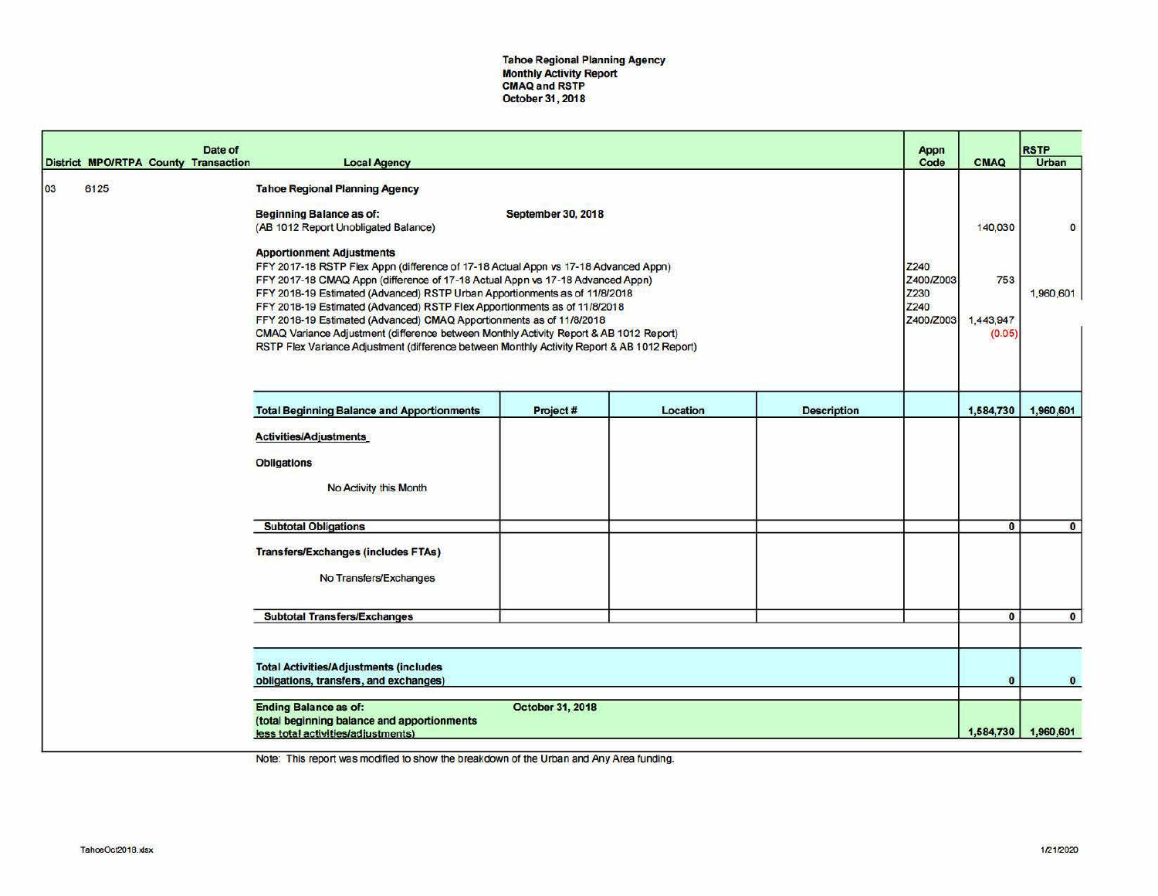Tahoe Regional Planning Agency Monthly Activity Report CMAQ and RSTP October 31, 2018

|    |      |                                                                                                                                                                                                                                                                                                                                                                                                                                                                                                                                                                                                                                                                                                                                                                                        | Date of<br><b>District MPO/RTPA County Transaction</b> | <b>Local Agency</b>                                                                                               |                  |          |                    | Appn<br>Code                                   | <b>CMAQ</b>                           | <b>RSTP</b><br>Urban     |
|----|------|----------------------------------------------------------------------------------------------------------------------------------------------------------------------------------------------------------------------------------------------------------------------------------------------------------------------------------------------------------------------------------------------------------------------------------------------------------------------------------------------------------------------------------------------------------------------------------------------------------------------------------------------------------------------------------------------------------------------------------------------------------------------------------------|--------------------------------------------------------|-------------------------------------------------------------------------------------------------------------------|------------------|----------|--------------------|------------------------------------------------|---------------------------------------|--------------------------|
| 03 | 6125 | <b>Tahoe Regional Planning Agency</b><br><b>Beginning Balance as of:</b><br><b>September 30, 2018</b><br>(AB 1012 Report Unobligated Balance)<br><b>Apportionment Adjustments</b><br>FFY 2017-18 RSTP Flex Appn (difference of 17-18 Actual Appn vs 17-18 Advanced Appn)<br>FFY 2017-18 CMAQ Appn (difference of 17-18 Actual Appn vs 17-18 Advanced Appn)<br>FFY 2018-19 Estimated (Advanced) RSTP Urban Apportionments as of 11/8/2018<br>FFY 2018-19 Estimated (Advanced) RSTP Flex Apportionments as of 11/8/2018<br>FFY 2018-19 Estimated (Advanced) CMAQ Apportionments as of 11/8/2018<br>CMAQ Variance Adjustment (difference between Monthly Activity Report & AB 1012 Report)<br>RSTP Flex Variance Adjustment (difference between Monthly Activity Report & AB 1012 Report) |                                                        |                                                                                                                   |                  |          |                    | Z240<br>Z400/Z003<br>Z230<br>Z240<br>Z400/Z003 | 140,030<br>753<br>1,443,947<br>(0.05) | $\mathbf 0$<br>1,960,601 |
|    |      |                                                                                                                                                                                                                                                                                                                                                                                                                                                                                                                                                                                                                                                                                                                                                                                        |                                                        | <b>Total Beginning Balance and Apportionments</b>                                                                 | Project#         | Location | <b>Description</b> |                                                | 1,584,730                             | 1,960,601                |
|    |      |                                                                                                                                                                                                                                                                                                                                                                                                                                                                                                                                                                                                                                                                                                                                                                                        |                                                        | <b>Activities/Adjustments</b><br><b>Obligations</b><br>No Activity this Month                                     |                  |          |                    |                                                |                                       |                          |
|    |      |                                                                                                                                                                                                                                                                                                                                                                                                                                                                                                                                                                                                                                                                                                                                                                                        |                                                        | <b>Subtotal Obligations</b>                                                                                       |                  |          |                    |                                                | $\mathbf{0}$                          | $\bullet$                |
|    |      |                                                                                                                                                                                                                                                                                                                                                                                                                                                                                                                                                                                                                                                                                                                                                                                        |                                                        | <b>Transfers/Exchanges (includes FTAs)</b><br>No Transfers/Exchanges                                              |                  |          |                    |                                                |                                       |                          |
|    |      |                                                                                                                                                                                                                                                                                                                                                                                                                                                                                                                                                                                                                                                                                                                                                                                        |                                                        | <b>Subtotal Transfers/Exchanges</b>                                                                               |                  |          |                    |                                                | $\mathbf{0}$                          | $\mathbf{0}$             |
|    |      |                                                                                                                                                                                                                                                                                                                                                                                                                                                                                                                                                                                                                                                                                                                                                                                        |                                                        |                                                                                                                   |                  |          |                    |                                                |                                       |                          |
|    |      | <b>Total Activities/Adjustments (includes</b><br>obligations, transfers, and exchanges)                                                                                                                                                                                                                                                                                                                                                                                                                                                                                                                                                                                                                                                                                                |                                                        |                                                                                                                   |                  |          |                    |                                                | $\mathbf{o}$                          | $\bf{0}$                 |
|    |      |                                                                                                                                                                                                                                                                                                                                                                                                                                                                                                                                                                                                                                                                                                                                                                                        |                                                        | <b>Ending Balance as of:</b><br>(total beginning balance and apportionments<br>less total activities/adjustments) | October 31, 2018 |          |                    |                                                |                                       | 1,584,730 1,960,601      |

Note: This report was modified to show the breakdown of the Urban and Any Area funding.